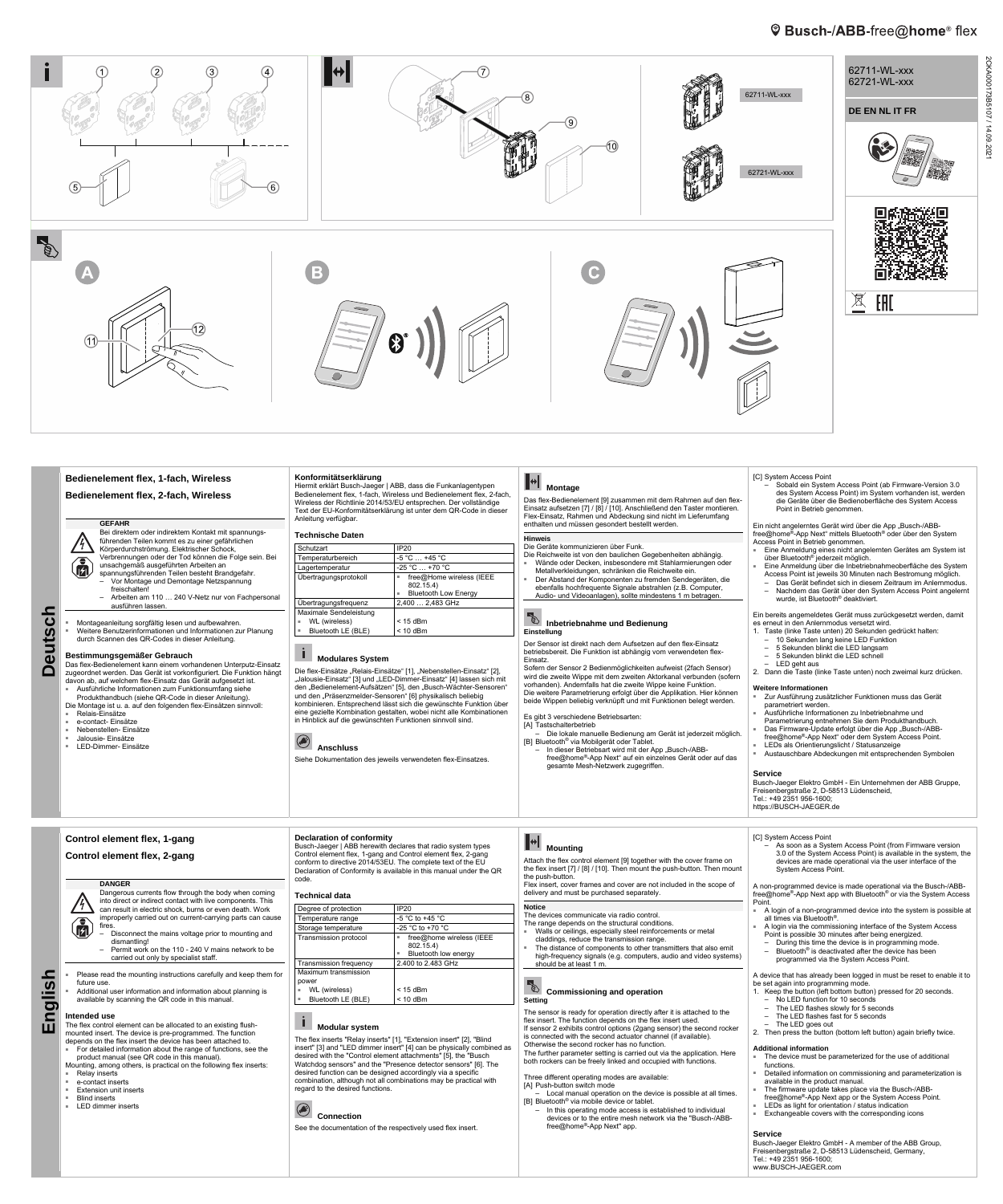# **<sup>©</sup>** Busch-/ABB-free@home® flex



■ LED-Dimmer- Einsätze

 **Anschluss** 

#### Siehe Dokumentation des jeweils verwendeten flex-Einsatzes.

- ∸ can result in electric shock, burns or even death. Work improperly carried out on current-carrying parts can cause  $\bigcirc$ fires.
	- Disconnect the mains voltage prior to mounting and dismantling!
		- Permit work on the 110 240 V mains network to be carried out only by specialist staff.
- Please read the mounting instructions carefully and keep them for future use.
- Additional user information and information about planning is available by scanning the QR code in this manual.

- The flex control element can be allocated to an existing flushmounted insert. The device is pre-programmed. The function depends on the flex insert the device has been attached to.
- For detailed information about the range of functions, see the

- Relay inserts
- e-contact inserts
- Extension unit inserts
- **Blind inserts**
- LED dimmer inserts

#### $\mathbf{i}$  **Modular system**

# **R**<br>**Commissioning and operation Setting**

- [B] Bluetooth® via Mobilgerät oder Tablet.
- In dieser Betriebsart wird mit der App "Busch-/ABBfree@home®-App Next" auf ein einzelnes Gerät oder auf das gesamte Mesh-Netzwerk zugegriffen.
- 
- LEDs als Orientierungslicht / Statusanzeige ■ Austauschbare Abdeckungen mit entsprechenden Symbolen
	-

- A login of a non-programmed device into the system is possible at all times via Bluetooth®.
- A login via the commissioning interface of the System Access Point is possible 30 minutes after being energized.
- During this time the device is in programming mode.
- Bluetooth® is deactivated after the device has been programmed via the System Access Point.

### **Service**

Busch-Jaeger Elektro GmbH - Ein Unternehmen der ABB Gruppe, Freisenbergstraße 2, D-58513 Lüdenscheid, Tel.: +49 2351 956-1600; https://BUSCH-JAEGER.de

**English** 

**Control element flex, 1-gang Control element flex, 2-gang** 

**DANGER** 

Dangerous currents flow through the body when coming into direct or indirect contact with live components. This

#### **Intended use**

product manual (see QR code in this manual). Mounting, among others, is practical on the following flex inserts:

# **Declaration of conformity**

Busch-Jaeger | ABB herewith declares that radio system types Control element flex, 1-gang and Control element flex, 2-gang conform to directive 2014/53EU. The complete text of the EU Declaration of Conformity is available in this manual under the QR code.

**Technical data** 

| Degree of protection          | <b>IP20</b>              |
|-------------------------------|--------------------------|
| Temperature range             | $-5$ °C to $+45$ °C      |
| Storage temperature           | -25 °C to +70 °C         |
| Transmission protocol         | free@home wireless (IEEE |
|                               | 802.15.4)                |
|                               | Bluetooth low energy     |
| <b>Transmission frequency</b> | 2.400 to 2.483 GHz       |
| Maximum transmission          |                          |
| power                         |                          |
| WL (wireless)<br>٠            | $<$ 15 dBm               |
| Bluetooth LE (BLE)            | $<$ 10 dBm               |
|                               |                          |

The flex inserts "Relay inserts" [1], "Extension insert" [2], "Blind insert" [3] and "LED dimmer insert" [4] can be physically combined as desired with the "Control element attachments" [5], the "Busch Watchdog sensors" and the "Presence detector sensors" [6]. The desired function can be designed accordingly via a specific combination, although not all combinations may be practical with regard to the desired functions.

## **Connection**

See the documentation of the respectively used flex insert.

# **Mounting**

Attach the flex control element [9] together with the cover frame on the flex insert [7] / [8] / [10]. Then mount the push-button. Then mount the push-button.

Flex insert, cover frames and cover are not included in the scope of delivery and must be purchased separately.

**Notice** 

#### The devices communicate via radio control. The range depends on the structural conditions. ■ Walls or ceilings, especially steel reinforcements or metal claddings, reduce the transmission range. ■ The distance of components to other transmitters that also emit high-frequency signals (e.g. computers, audio and video systems)

should be at least 1 m.

- 
- 

The sensor is ready for operation directly after it is attached to the flex insert. The function depends on the flex insert used. If sensor 2 exhibits control options (2gang sensor) the second rocker is connected with the second actuator channel (if available). Otherwise the second rocker has no function. The further parameter setting is carried out via the application. Here both rockers can be freely linked and occupied with functions.

Three different operating modes are available: [A] Push-button switch mode

– Local manual operation on the device is possible at all times. [B] Bluetooth® via mobile device or tablet.

– In this operating mode access is established to individual devices or to the entire mesh network via the "Busch-/ABBfree@home®-App Next" app.

# [C] System Access Point

– As soon as a System Access Point (from Firmware version 3.0 of the System Access Point) is available in the system, the devices are made operational via the user interface of the System Access Point.

A non-programmed device is made operational via the Busch-/ABBfree@home®-App Next app with Bluetooth® or via the System Access

Point.

A device that has already been logged in must be reset to enable it to be set again into programming mode.

- 1. Keep the button (left bottom button) pressed for 20 seconds.
- No LED function for 10 seconds
- The LED flashes slowly for 5 seconds
- The LED flashes fast for 5 seconds
- The LED goes out
- 2. Then press the button (bottom left button) again briefly twice.

#### **Additional information**

- The device must be parameterized for the use of additional functions.
- Detailed information on commissioning and parameterization is available in the product manual.
- The firmware update takes place via the Busch-/ABBfree@home®-App Next app or the System Access Point.
- LEDs as light for orientation / status indication
- Exchangeable covers with the corresponding icons

#### **Service**

Busch-Jaeger Elektro GmbH - A member of the ABB Group, Freisenbergstraße 2, D-58513 Lüdenscheid, Germany, Tel.: +49 2351 956-1600; www.BUSCH-JAEGER.com